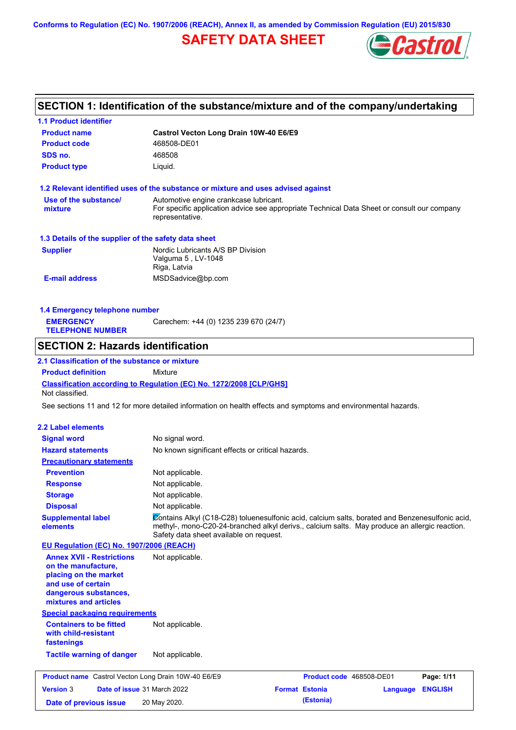**Conforms to Regulation (EC) No. 1907/2006 (REACH), Annex II, as amended by Commission Regulation (EU) 2015/830**

## **SAFETY DATA SHEET**



## **SECTION 1: Identification of the substance/mixture and of the company/undertaking**

| <b>1.1 Product identifier</b>                                        |                                                                                                                                                                                                                                             |
|----------------------------------------------------------------------|---------------------------------------------------------------------------------------------------------------------------------------------------------------------------------------------------------------------------------------------|
| <b>Product name</b>                                                  | Castrol Vecton Long Drain 10W-40 E6/E9                                                                                                                                                                                                      |
| <b>Product code</b>                                                  | 468508-DE01                                                                                                                                                                                                                                 |
| SDS no.                                                              | 468508                                                                                                                                                                                                                                      |
| <b>Product type</b>                                                  | Liquid.                                                                                                                                                                                                                                     |
|                                                                      | 1.2 Relevant identified uses of the substance or mixture and uses advised against                                                                                                                                                           |
| Use of the substance/                                                | Automotive engine crankcase lubricant.                                                                                                                                                                                                      |
| mixture                                                              | For specific application advice see appropriate Technical Data Sheet or consult our company<br>representative.                                                                                                                              |
| 1.3 Details of the supplier of the safety data sheet                 |                                                                                                                                                                                                                                             |
| <b>Supplier</b>                                                      | Nordic Lubricants A/S BP Division<br>Valguma 5, LV-1048<br>Riga, Latvia                                                                                                                                                                     |
| <b>E-mail address</b>                                                | MSDSadvice@bp.com                                                                                                                                                                                                                           |
| 1.4 Emergency telephone number                                       |                                                                                                                                                                                                                                             |
| <b>EMERGENCY</b>                                                     | Carechem: +44 (0) 1235 239 670 (24/7)                                                                                                                                                                                                       |
| <b>TELEPHONE NUMBER</b>                                              |                                                                                                                                                                                                                                             |
| <b>SECTION 2: Hazards identification</b>                             |                                                                                                                                                                                                                                             |
| 2.1 Classification of the substance or mixture                       |                                                                                                                                                                                                                                             |
| <b>Product definition</b>                                            | Mixture                                                                                                                                                                                                                                     |
| Not classified.                                                      | <b>Classification according to Regulation (EC) No. 1272/2008 [CLP/GHS]</b>                                                                                                                                                                  |
|                                                                      | See sections 11 and 12 for more detailed information on health effects and symptoms and environmental hazards.                                                                                                                              |
| 2.2 Label elements                                                   |                                                                                                                                                                                                                                             |
| <b>Signal word</b>                                                   | No signal word.                                                                                                                                                                                                                             |
| <b>Hazard statements</b>                                             | No known significant effects or critical hazards.                                                                                                                                                                                           |
| <b>Precautionary statements</b>                                      |                                                                                                                                                                                                                                             |
| <b>Prevention</b>                                                    | Not applicable.                                                                                                                                                                                                                             |
| <b>Response</b>                                                      | Not applicable.                                                                                                                                                                                                                             |
| <b>Storage</b>                                                       | Not applicable.                                                                                                                                                                                                                             |
| <b>Disposal</b>                                                      | Not applicable.                                                                                                                                                                                                                             |
| <b>Supplemental label</b><br>elements                                | Contains Alkyl (C18-C28) toluenesulfonic acid, calcium salts, borated and Benzenesulfonic acid,<br>methyl-, mono-C20-24-branched alkyl derivs., calcium salts. May produce an allergic reaction.<br>Safety data sheet available on request. |
| EU Regulation (EC) No. 1907/2006 (REACH)                             |                                                                                                                                                                                                                                             |
| <b>Annex XVII - Restrictions</b>                                     | Not applicable.                                                                                                                                                                                                                             |
| on the manufacture,                                                  |                                                                                                                                                                                                                                             |
| placing on the market                                                |                                                                                                                                                                                                                                             |
| and use of certain                                                   |                                                                                                                                                                                                                                             |
| dangerous substances,                                                |                                                                                                                                                                                                                                             |
| mixtures and articles                                                |                                                                                                                                                                                                                                             |
| <b>Special packaging requirements</b>                                |                                                                                                                                                                                                                                             |
| <b>Containers to be fitted</b><br>with child-resistant<br>fastenings | Not applicable.                                                                                                                                                                                                                             |
| <b>Tactile warning of danger</b>                                     | Not applicable.                                                                                                                                                                                                                             |
| <b>Product name</b> Castrol Vecton Long Drain 10W-40 E6/E9           | Product code 468508-DE01<br>Page: 1/11                                                                                                                                                                                                      |
| <b>Version 3</b>                                                     | Date of issue 31 March 2022<br><b>Format Estonia</b><br><b>ENGLISH</b><br>Language                                                                                                                                                          |
| Date of previous issue                                               | (Estonia)<br>20 May 2020.                                                                                                                                                                                                                   |
|                                                                      |                                                                                                                                                                                                                                             |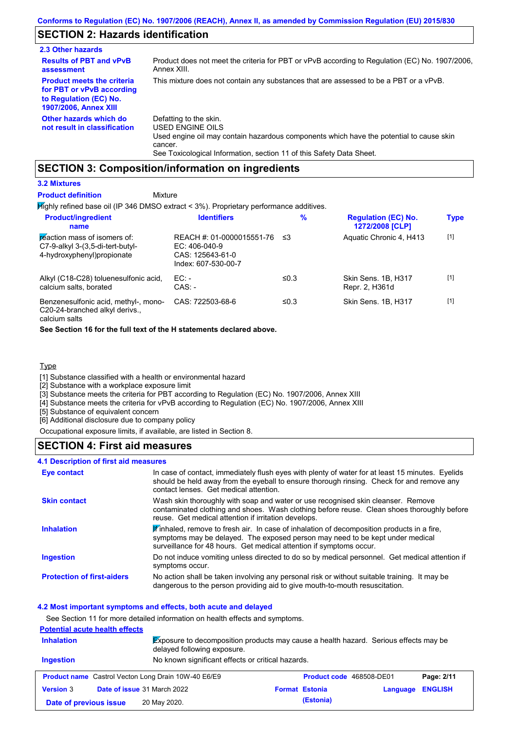## **SECTION 2: Hazards identification**

| 2.3 Other hazards                                                                                                        |                                                                                                                                                                                                                          |
|--------------------------------------------------------------------------------------------------------------------------|--------------------------------------------------------------------------------------------------------------------------------------------------------------------------------------------------------------------------|
| <b>Results of PBT and vPvB</b><br>assessment                                                                             | Product does not meet the criteria for PBT or vPvB according to Regulation (EC) No. 1907/2006,<br>Annex XIII.                                                                                                            |
| <b>Product meets the criteria</b><br>for PBT or vPvB according<br>to Regulation (EC) No.<br><b>1907/2006, Annex XIII</b> | This mixture does not contain any substances that are assessed to be a PBT or a vPvB.                                                                                                                                    |
| Other hazards which do<br>not result in classification                                                                   | Defatting to the skin.<br>USED ENGINE OILS<br>Used engine oil may contain hazardous components which have the potential to cause skin<br>cancer.<br>See Toxicological Information, section 11 of this Safety Data Sheet. |

## **SECTION 3: Composition/information on ingredients**

### **3.2 Mixtures**

#### Mixture **Product definition**

**Highly refined base oil (IP 346 DMSO extract < 3%). Proprietary performance additives.** 

| <b>Product/ingredient</b><br>name                                                              | <b>Identifiers</b>                                                                      | $\%$ | <b>Regulation (EC) No.</b><br>1272/2008 [CLP] | <b>Type</b> |
|------------------------------------------------------------------------------------------------|-----------------------------------------------------------------------------------------|------|-----------------------------------------------|-------------|
| reaction mass of isomers of:<br>C7-9-alkyl 3-(3,5-di-tert-butyl-<br>4-hydroxyphenyl)propionate | REACH #: 01-0000015551-76<br>$EC: 406-040-9$<br>CAS: 125643-61-0<br>Index: 607-530-00-7 | וי≥  | Aquatic Chronic 4, H413                       | $[1]$       |
| Alkyl (C18-C28) toluenesulfonic acid,<br>calcium salts, borated                                | EC:<br>$CAS: -$                                                                         | ≤0.3 | Skin Sens. 1B, H317<br>Repr. 2, H361d         | $[1]$       |
| Benzenesulfonic acid, methyl-, mono-<br>C20-24-branched alkyl derivs.,                         | CAS: 722503-68-6                                                                        | ≤0.3 | Skin Sens, 1B, H317                           | $[1]$       |

calcium salts

**See Section 16 for the full text of the H statements declared above.**

### **Type**

[1] Substance classified with a health or environmental hazard

[2] Substance with a workplace exposure limit

[3] Substance meets the criteria for PBT according to Regulation (EC) No. 1907/2006, Annex XIII

[4] Substance meets the criteria for vPvB according to Regulation (EC) No. 1907/2006, Annex XIII

[5] Substance of equivalent concern

[6] Additional disclosure due to company policy

Occupational exposure limits, if available, are listed in Section 8.

### **SECTION 4: First aid measures**

### **4.1 Description of first aid measures**

| Eye contact                       | In case of contact, immediately flush eyes with plenty of water for at least 15 minutes. Eyelids<br>should be held away from the eyeball to ensure thorough rinsing. Check for and remove any<br>contact lenses. Get medical attention.           |
|-----------------------------------|---------------------------------------------------------------------------------------------------------------------------------------------------------------------------------------------------------------------------------------------------|
| <b>Skin contact</b>               | Wash skin thoroughly with soap and water or use recognised skin cleanser. Remove<br>contaminated clothing and shoes. Wash clothing before reuse. Clean shoes thoroughly before<br>reuse. Get medical attention if irritation develops.            |
| <b>Inhalation</b>                 | Winhaled, remove to fresh air. In case of inhalation of decomposition products in a fire,<br>symptoms may be delayed. The exposed person may need to be kept under medical<br>surveillance for 48 hours. Get medical attention if symptoms occur. |
| <b>Ingestion</b>                  | Do not induce vomiting unless directed to do so by medical personnel. Get medical attention if<br>symptoms occur.                                                                                                                                 |
| <b>Protection of first-aiders</b> | No action shall be taken involving any personal risk or without suitable training. It may be<br>dangerous to the person providing aid to give mouth-to-mouth resuscitation.                                                                       |

#### **4.2 Most important symptoms and effects, both acute and delayed**

See Section 11 for more detailed information on health effects and symptoms. **Potential acute health effects Inhalation** Exposure to decomposition products may cause a health hazard. Serious effects may be delayed following exposure. **Ingestion** No known significant effects or critical hazards. **Product name** Castrol Vecton Long Drain 10W-40 E6/E9 **Product code** 468508-DE01 **Page: 2/11 Version** 3 **Date of issue** 31 March 2022 **Format Estonia Language ENGLISH Date of previous issue (Estonia)** 20 May 2020.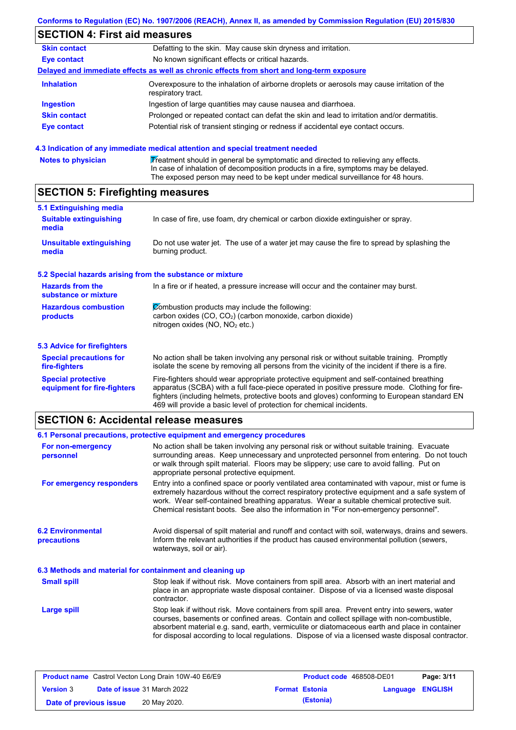### **SECTION 4: First aid measures Skin contact** Defatting to the skin. May cause skin dryness and irritation. **Eye contact** No known significant effects or critical hazards. **Delayed and immediate effects as well as chronic effects from short and long-term exposure Inhalation Ingestion Skin contact Eye contact** Overexposure to the inhalation of airborne droplets or aerosols may cause irritation of the respiratory tract. Ingestion of large quantities may cause nausea and diarrhoea. Prolonged or repeated contact can defat the skin and lead to irritation and/or dermatitis. Potential risk of transient stinging or redness if accidental eye contact occurs.

|  | 4.3 Indication of any immediate medical attention and special treatment needed |  |
|--|--------------------------------------------------------------------------------|--|
|  |                                                                                |  |

| <b>Notes to physician</b> | Treatment should in general be symptomatic and directed to relieving any effects.   |
|---------------------------|-------------------------------------------------------------------------------------|
|                           | In case of inhalation of decomposition products in a fire, symptoms may be delayed. |
|                           | The exposed person may need to be kept under medical surveillance for 48 hours.     |

## **SECTION 5: Firefighting measures**

| 5.1 Extinguishing media                                   |                                                                                                                                                                                                                                                                                                                                                                   |
|-----------------------------------------------------------|-------------------------------------------------------------------------------------------------------------------------------------------------------------------------------------------------------------------------------------------------------------------------------------------------------------------------------------------------------------------|
| <b>Suitable extinguishing</b><br>media                    | In case of fire, use foam, dry chemical or carbon dioxide extinguisher or spray.                                                                                                                                                                                                                                                                                  |
| <b>Unsuitable extinguishing</b><br>media                  | Do not use water jet. The use of a water jet may cause the fire to spread by splashing the<br>burning product.                                                                                                                                                                                                                                                    |
| 5.2 Special hazards arising from the substance or mixture |                                                                                                                                                                                                                                                                                                                                                                   |
| <b>Hazards from the</b><br>substance or mixture           | In a fire or if heated, a pressure increase will occur and the container may burst.                                                                                                                                                                                                                                                                               |
| <b>Hazardous combustion</b><br>products                   | Combustion products may include the following:<br>carbon oxides (CO, CO <sub>2</sub> ) (carbon monoxide, carbon dioxide)<br>nitrogen oxides ( $NO$ , $NO2$ etc.)                                                                                                                                                                                                  |
| 5.3 Advice for firefighters                               |                                                                                                                                                                                                                                                                                                                                                                   |
| <b>Special precautions for</b><br>fire-fighters           | No action shall be taken involving any personal risk or without suitable training. Promptly<br>isolate the scene by removing all persons from the vicinity of the incident if there is a fire.                                                                                                                                                                    |
| <b>Special protective</b><br>equipment for fire-fighters  | Fire-fighters should wear appropriate protective equipment and self-contained breathing<br>apparatus (SCBA) with a full face-piece operated in positive pressure mode. Clothing for fire-<br>fighters (including helmets, protective boots and gloves) conforming to European standard EN<br>469 will provide a basic level of protection for chemical incidents. |

## **SECTION 6: Accidental release measures**

|                                                          | 6.1 Personal precautions, protective equipment and emergency procedures                                                                                                                                                                                                                                                                                                                        |  |  |  |
|----------------------------------------------------------|------------------------------------------------------------------------------------------------------------------------------------------------------------------------------------------------------------------------------------------------------------------------------------------------------------------------------------------------------------------------------------------------|--|--|--|
| For non-emergency<br>personnel                           | No action shall be taken involving any personal risk or without suitable training. Evacuate<br>surrounding areas. Keep unnecessary and unprotected personnel from entering. Do not touch<br>or walk through spilt material. Floors may be slippery; use care to avoid falling. Put on<br>appropriate personal protective equipment.                                                            |  |  |  |
| For emergency responders                                 | Entry into a confined space or poorly ventilated area contaminated with vapour, mist or fume is<br>extremely hazardous without the correct respiratory protective equipment and a safe system of<br>work. Wear self-contained breathing apparatus. Wear a suitable chemical protective suit.<br>Chemical resistant boots. See also the information in "For non-emergency personnel".           |  |  |  |
| <b>6.2 Environmental</b><br>precautions                  | Avoid dispersal of spilt material and runoff and contact with soil, waterways, drains and sewers.<br>Inform the relevant authorities if the product has caused environmental pollution (sewers,<br>waterways, soil or air).                                                                                                                                                                    |  |  |  |
| 6.3 Methods and material for containment and cleaning up |                                                                                                                                                                                                                                                                                                                                                                                                |  |  |  |
| <b>Small spill</b>                                       | Stop leak if without risk. Move containers from spill area. Absorb with an inert material and<br>place in an appropriate waste disposal container. Dispose of via a licensed waste disposal<br>contractor.                                                                                                                                                                                     |  |  |  |
| <b>Large spill</b>                                       | Stop leak if without risk. Move containers from spill area. Prevent entry into sewers, water<br>courses, basements or confined areas. Contain and collect spillage with non-combustible,<br>absorbent material e.g. sand, earth, vermiculite or diatomaceous earth and place in container<br>for disposal according to local regulations. Dispose of via a licensed waste disposal contractor. |  |  |  |

| <b>Product name</b> Castrol Vecton Long Drain 10W-40 E6/E9 |  | <b>Product code</b> 468508-DE01 |                       | Page: 3/11              |  |  |
|------------------------------------------------------------|--|---------------------------------|-----------------------|-------------------------|--|--|
| <b>Date of issue 31 March 2022</b><br><b>Version 3</b>     |  |                                 | <b>Format Estonia</b> | <b>Language ENGLISH</b> |  |  |
| Date of previous issue                                     |  | 20 May 2020.                    |                       | (Estonia)               |  |  |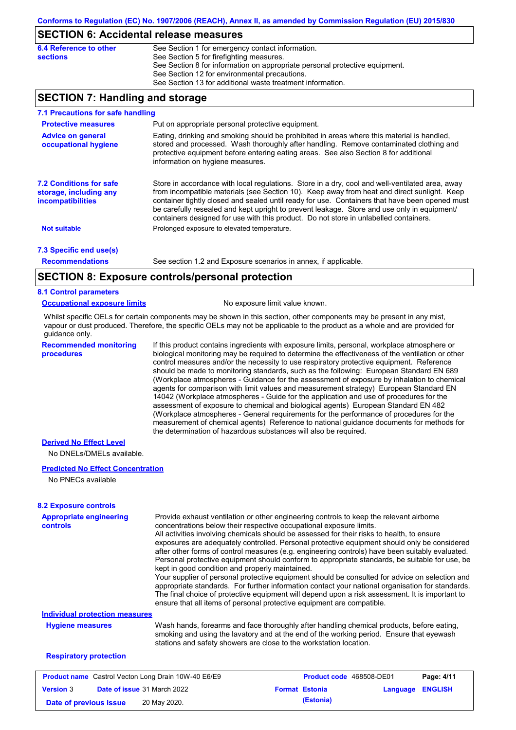### **SECTION 6: Accidental release measures**

| 6.4 Reference to other | See Section 1 for emergency contact information.                            |
|------------------------|-----------------------------------------------------------------------------|
| sections               | See Section 5 for firefighting measures.                                    |
|                        | See Section 8 for information on appropriate personal protective equipment. |
|                        | See Section 12 for environmental precautions.                               |
|                        | See Section 13 for additional waste treatment information.                  |

## **SECTION 7: Handling and storage**

| 7.1 Precautions for safe handling                                                    |                                                                                                                                                                                                                                                                                                                                                                                                                                                                                          |
|--------------------------------------------------------------------------------------|------------------------------------------------------------------------------------------------------------------------------------------------------------------------------------------------------------------------------------------------------------------------------------------------------------------------------------------------------------------------------------------------------------------------------------------------------------------------------------------|
| <b>Protective measures</b>                                                           | Put on appropriate personal protective equipment.                                                                                                                                                                                                                                                                                                                                                                                                                                        |
| <b>Advice on general</b><br>occupational hygiene                                     | Eating, drinking and smoking should be prohibited in areas where this material is handled,<br>stored and processed. Wash thoroughly after handling. Remove contaminated clothing and<br>protective equipment before entering eating areas. See also Section 8 for additional<br>information on hygiene measures.                                                                                                                                                                         |
| <b>7.2 Conditions for safe</b><br>storage, including any<br><i>incompatibilities</i> | Store in accordance with local regulations. Store in a dry, cool and well-ventilated area, away<br>from incompatible materials (see Section 10). Keep away from heat and direct sunlight. Keep<br>container tightly closed and sealed until ready for use. Containers that have been opened must<br>be carefully resealed and kept upright to prevent leakage. Store and use only in equipment/<br>containers designed for use with this product. Do not store in unlabelled containers. |
| <b>Not suitable</b>                                                                  | Prolonged exposure to elevated temperature.                                                                                                                                                                                                                                                                                                                                                                                                                                              |
| 7.3 Specific end use(s)                                                              |                                                                                                                                                                                                                                                                                                                                                                                                                                                                                          |
| <b>Recommendations</b>                                                               | See section 1.2 and Exposure scenarios in annex, if applicable.                                                                                                                                                                                                                                                                                                                                                                                                                          |
|                                                                                      | CECTION 0. Evacours controlains regard protection                                                                                                                                                                                                                                                                                                                                                                                                                                        |

## **SECTION 8: Exposure controls/personal protection**

### **8.1 Control parameters**

#### **Occupational exposure limits** No exposure limit value known.

Whilst specific OELs for certain components may be shown in this section, other components may be present in any mist, vapour or dust produced. Therefore, the specific OELs may not be applicable to the product as a whole and are provided for guidance only.

**Recommended monitoring procedures**

If this product contains ingredients with exposure limits, personal, workplace atmosphere or biological monitoring may be required to determine the effectiveness of the ventilation or other control measures and/or the necessity to use respiratory protective equipment. Reference should be made to monitoring standards, such as the following: European Standard EN 689 (Workplace atmospheres - Guidance for the assessment of exposure by inhalation to chemical agents for comparison with limit values and measurement strategy) European Standard EN 14042 (Workplace atmospheres - Guide for the application and use of procedures for the assessment of exposure to chemical and biological agents) European Standard EN 482 (Workplace atmospheres - General requirements for the performance of procedures for the measurement of chemical agents) Reference to national guidance documents for methods for the determination of hazardous substances will also be required.

### **Derived No Effect Level**

No DNELs/DMELs available.

### **Predicted No Effect Concentration**

No PNECs available

| <b>8.2 Exposure controls</b>                               |                                                                                                                                                                                                                                                             |                                                                                                                                                                                                                                                                                                                                                                                                                                                                                                                                                                                                                                                                                                                                                                                                                                                                                                                                                                                                         |                          |          |                |
|------------------------------------------------------------|-------------------------------------------------------------------------------------------------------------------------------------------------------------------------------------------------------------------------------------------------------------|---------------------------------------------------------------------------------------------------------------------------------------------------------------------------------------------------------------------------------------------------------------------------------------------------------------------------------------------------------------------------------------------------------------------------------------------------------------------------------------------------------------------------------------------------------------------------------------------------------------------------------------------------------------------------------------------------------------------------------------------------------------------------------------------------------------------------------------------------------------------------------------------------------------------------------------------------------------------------------------------------------|--------------------------|----------|----------------|
| <b>Appropriate engineering</b><br><b>controls</b>          |                                                                                                                                                                                                                                                             | Provide exhaust ventilation or other engineering controls to keep the relevant airborne<br>concentrations below their respective occupational exposure limits.<br>All activities involving chemicals should be assessed for their risks to health, to ensure<br>exposures are adequately controlled. Personal protective equipment should only be considered<br>after other forms of control measures (e.g. engineering controls) have been suitably evaluated.<br>Personal protective equipment should conform to appropriate standards, be suitable for use, be<br>kept in good condition and properly maintained.<br>Your supplier of personal protective equipment should be consulted for advice on selection and<br>appropriate standards. For further information contact your national organisation for standards.<br>The final choice of protective equipment will depend upon a risk assessment. It is important to<br>ensure that all items of personal protective equipment are compatible. |                          |          |                |
| <b>Individual protection measures</b>                      |                                                                                                                                                                                                                                                             |                                                                                                                                                                                                                                                                                                                                                                                                                                                                                                                                                                                                                                                                                                                                                                                                                                                                                                                                                                                                         |                          |          |                |
| <b>Hygiene measures</b>                                    | Wash hands, forearms and face thoroughly after handling chemical products, before eating,<br>smoking and using the lavatory and at the end of the working period. Ensure that eyewash<br>stations and safety showers are close to the workstation location. |                                                                                                                                                                                                                                                                                                                                                                                                                                                                                                                                                                                                                                                                                                                                                                                                                                                                                                                                                                                                         |                          |          |                |
| <b>Respiratory protection</b>                              |                                                                                                                                                                                                                                                             |                                                                                                                                                                                                                                                                                                                                                                                                                                                                                                                                                                                                                                                                                                                                                                                                                                                                                                                                                                                                         |                          |          |                |
| <b>Product name</b> Castrol Vecton Long Drain 10W-40 E6/E9 |                                                                                                                                                                                                                                                             |                                                                                                                                                                                                                                                                                                                                                                                                                                                                                                                                                                                                                                                                                                                                                                                                                                                                                                                                                                                                         | Product code 468508-DE01 |          | Page: 4/11     |
| Date of issue 31 March 2022<br><b>Version 3</b>            |                                                                                                                                                                                                                                                             |                                                                                                                                                                                                                                                                                                                                                                                                                                                                                                                                                                                                                                                                                                                                                                                                                                                                                                                                                                                                         | <b>Format Estonia</b>    | Language | <b>ENGLISH</b> |

**Date of previous issue (Estonia)** 20 May 2020.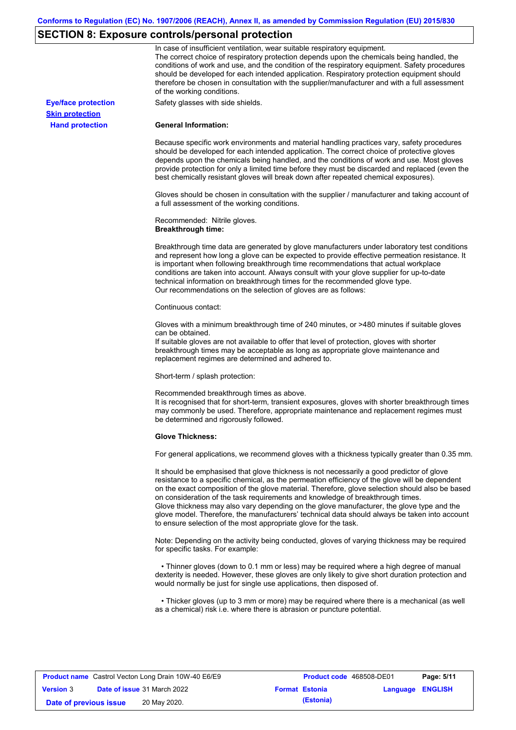# **SECTION 8: Exposure controls/personal protection**

|                            | In case of insufficient ventilation, wear suitable respiratory equipment.<br>The correct choice of respiratory protection depends upon the chemicals being handled, the<br>conditions of work and use, and the condition of the respiratory equipment. Safety procedures<br>should be developed for each intended application. Respiratory protection equipment should<br>therefore be chosen in consultation with the supplier/manufacturer and with a full assessment<br>of the working conditions.                                                                                                                                             |
|----------------------------|---------------------------------------------------------------------------------------------------------------------------------------------------------------------------------------------------------------------------------------------------------------------------------------------------------------------------------------------------------------------------------------------------------------------------------------------------------------------------------------------------------------------------------------------------------------------------------------------------------------------------------------------------|
| <b>Eye/face protection</b> | Safety glasses with side shields.                                                                                                                                                                                                                                                                                                                                                                                                                                                                                                                                                                                                                 |
| <b>Skin protection</b>     |                                                                                                                                                                                                                                                                                                                                                                                                                                                                                                                                                                                                                                                   |
| <b>Hand protection</b>     | <b>General Information:</b>                                                                                                                                                                                                                                                                                                                                                                                                                                                                                                                                                                                                                       |
|                            | Because specific work environments and material handling practices vary, safety procedures<br>should be developed for each intended application. The correct choice of protective gloves<br>depends upon the chemicals being handled, and the conditions of work and use. Most gloves<br>provide protection for only a limited time before they must be discarded and replaced (even the<br>best chemically resistant gloves will break down after repeated chemical exposures).                                                                                                                                                                  |
|                            | Gloves should be chosen in consultation with the supplier / manufacturer and taking account of<br>a full assessment of the working conditions.                                                                                                                                                                                                                                                                                                                                                                                                                                                                                                    |
|                            | Recommended: Nitrile gloves.<br><b>Breakthrough time:</b>                                                                                                                                                                                                                                                                                                                                                                                                                                                                                                                                                                                         |
|                            | Breakthrough time data are generated by glove manufacturers under laboratory test conditions<br>and represent how long a glove can be expected to provide effective permeation resistance. It<br>is important when following breakthrough time recommendations that actual workplace<br>conditions are taken into account. Always consult with your glove supplier for up-to-date<br>technical information on breakthrough times for the recommended glove type.<br>Our recommendations on the selection of gloves are as follows:                                                                                                                |
|                            | Continuous contact:                                                                                                                                                                                                                                                                                                                                                                                                                                                                                                                                                                                                                               |
|                            | Gloves with a minimum breakthrough time of 240 minutes, or >480 minutes if suitable gloves<br>can be obtained.<br>If suitable gloves are not available to offer that level of protection, gloves with shorter<br>breakthrough times may be acceptable as long as appropriate glove maintenance and<br>replacement regimes are determined and adhered to.                                                                                                                                                                                                                                                                                          |
|                            | Short-term / splash protection:                                                                                                                                                                                                                                                                                                                                                                                                                                                                                                                                                                                                                   |
|                            | Recommended breakthrough times as above.<br>It is recognised that for short-term, transient exposures, gloves with shorter breakthrough times<br>may commonly be used. Therefore, appropriate maintenance and replacement regimes must<br>be determined and rigorously followed.                                                                                                                                                                                                                                                                                                                                                                  |
|                            | <b>Glove Thickness:</b>                                                                                                                                                                                                                                                                                                                                                                                                                                                                                                                                                                                                                           |
|                            | For general applications, we recommend gloves with a thickness typically greater than 0.35 mm.                                                                                                                                                                                                                                                                                                                                                                                                                                                                                                                                                    |
|                            | It should be emphasised that glove thickness is not necessarily a good predictor of glove<br>resistance to a specific chemical, as the permeation efficiency of the glove will be dependent<br>on the exact composition of the glove material. Therefore, glove selection should also be based<br>on consideration of the task requirements and knowledge of breakthrough times.<br>Glove thickness may also vary depending on the glove manufacturer, the glove type and the<br>glove model. Therefore, the manufacturers' technical data should always be taken into account<br>to ensure selection of the most appropriate glove for the task. |
|                            | Note: Depending on the activity being conducted, gloves of varying thickness may be required<br>for specific tasks. For example:                                                                                                                                                                                                                                                                                                                                                                                                                                                                                                                  |
|                            | • Thinner gloves (down to 0.1 mm or less) may be required where a high degree of manual<br>dexterity is needed. However, these gloves are only likely to give short duration protection and<br>would normally be just for single use applications, then disposed of.                                                                                                                                                                                                                                                                                                                                                                              |
|                            | • Thicker gloves (up to 3 mm or more) may be required where there is a mechanical (as well<br>as a chemical) risk i.e. where there is abrasion or puncture potential.                                                                                                                                                                                                                                                                                                                                                                                                                                                                             |

| <b>Product name</b> Castrol Vecton Long Drain 10W-40 E6/E9 |  |                                    | <b>Product code</b> 468508-DE01 |                       | Page: 5/11              |  |
|------------------------------------------------------------|--|------------------------------------|---------------------------------|-----------------------|-------------------------|--|
| <b>Version 3</b>                                           |  | <b>Date of issue 31 March 2022</b> |                                 | <b>Format Estonia</b> | <b>Language ENGLISH</b> |  |
| Date of previous issue                                     |  | 20 May 2020.                       |                                 | (Estonia)             |                         |  |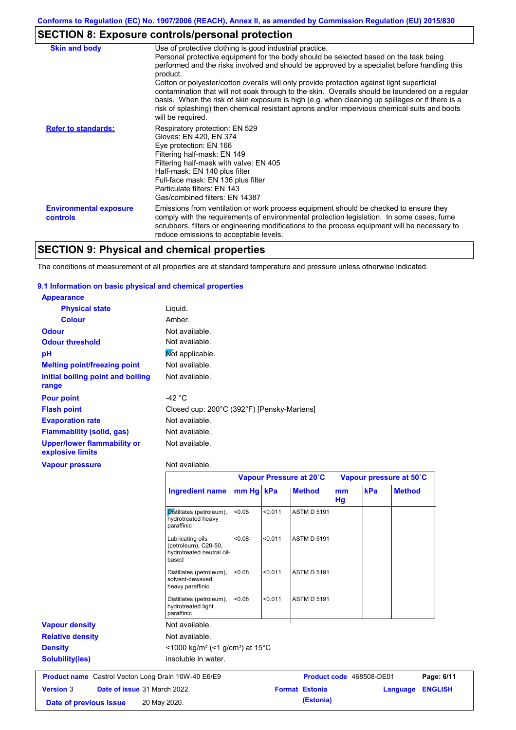## **SECTION 8: Exposure controls/personal protection**

| <b>Skin and body</b>                             | Use of protective clothing is good industrial practice.                                                                                                                                                                                                                                                                                                                                                                                                                                                                                                                                               |
|--------------------------------------------------|-------------------------------------------------------------------------------------------------------------------------------------------------------------------------------------------------------------------------------------------------------------------------------------------------------------------------------------------------------------------------------------------------------------------------------------------------------------------------------------------------------------------------------------------------------------------------------------------------------|
|                                                  | Personal protective equipment for the body should be selected based on the task being<br>performed and the risks involved and should be approved by a specialist before handling this<br>product.<br>Cotton or polyester/cotton overalls will only provide protection against light superficial<br>contamination that will not soak through to the skin. Overalls should be laundered on a regular<br>basis. When the risk of skin exposure is high (e.g. when cleaning up spillages or if there is a<br>risk of splashing) then chemical resistant aprons and/or impervious chemical suits and boots |
|                                                  | will be required.                                                                                                                                                                                                                                                                                                                                                                                                                                                                                                                                                                                     |
| <b>Refer to standards:</b>                       | Respiratory protection: EN 529<br>Gloves: EN 420, EN 374<br>Eye protection: EN 166<br>Filtering half-mask: EN 149<br>Filtering half-mask with valve: EN 405<br>Half-mask: EN 140 plus filter<br>Full-face mask: EN 136 plus filter<br>Particulate filters: EN 143<br>Gas/combined filters: EN 14387                                                                                                                                                                                                                                                                                                   |
| <b>Environmental exposure</b><br><b>controls</b> | Emissions from ventilation or work process equipment should be checked to ensure they<br>comply with the requirements of environmental protection legislation. In some cases, fume<br>scrubbers, filters or engineering modifications to the process equipment will be necessary to<br>reduce emissions to acceptable levels.                                                                                                                                                                                                                                                                         |

## **SECTION 9: Physical and chemical properties**

The conditions of measurement of all properties are at standard temperature and pressure unless otherwise indicated.

### **9.1 Information on basic physical and chemical properties**

| <b>Appearance</b>                                      |                                            |
|--------------------------------------------------------|--------------------------------------------|
| <b>Physical state</b>                                  | Liguid.                                    |
| <b>Colour</b>                                          | Amber.                                     |
| <b>Odour</b>                                           | Not available.                             |
| <b>Odour threshold</b>                                 | Not available.                             |
| pH                                                     | Mot applicable.                            |
| <b>Melting point/freezing point</b>                    | Not available.                             |
| Initial boiling point and boiling<br>range             | Not available.                             |
| <b>Pour point</b>                                      | -42 $^{\circ}$ C                           |
| <b>Flash point</b>                                     | Closed cup: 200°C (392°F) [Pensky-Martens] |
| <b>Evaporation rate</b>                                | Not available.                             |
| Flammability (solid, gas)                              | Not available.                             |
| <b>Upper/lower flammability or</b><br>explosive limits | Not available.                             |
| Vapour pressure                                        | Not available.                             |

|                                                            |                                                                                |           |         | Vapour Pressure at 20°C |          | Vapour pressure at 50°C  |                |
|------------------------------------------------------------|--------------------------------------------------------------------------------|-----------|---------|-------------------------|----------|--------------------------|----------------|
|                                                            | Ingredient name                                                                | mm Hg kPa |         | <b>Method</b>           | mm<br>Hg | kPa<br><b>Method</b>     |                |
|                                                            | Distillates (petroleum),<br>hydrotreated heavy<br>paraffinic                   | < 0.08    | < 0.011 | <b>ASTM D 5191</b>      |          |                          |                |
|                                                            | Lubricating oils<br>(petroleum), C20-50,<br>hydrotreated neutral oil-<br>based | < 0.08    | < 0.011 | <b>ASTM D 5191</b>      |          |                          |                |
|                                                            | Distillates (petroleum),<br>solvent-dewaxed<br>heavy paraffinic                | < 0.08    | < 0.011 | <b>ASTM D 5191</b>      |          |                          |                |
|                                                            | Distillates (petroleum),<br>hydrotreated light<br>paraffinic                   | < 0.08    | < 0.011 | <b>ASTM D 5191</b>      |          |                          |                |
| <b>Vapour density</b>                                      | Not available.                                                                 |           |         |                         |          |                          |                |
| <b>Relative density</b>                                    | Not available.                                                                 |           |         |                         |          |                          |                |
| <b>Density</b>                                             | $<$ 1000 kg/m <sup>3</sup> (<1 g/cm <sup>3</sup> ) at 15 <sup>°</sup> C        |           |         |                         |          |                          |                |
| <b>Solubility(ies)</b>                                     | insoluble in water.                                                            |           |         |                         |          |                          |                |
| <b>Product name</b> Castrol Vecton Long Drain 10W-40 E6/E9 |                                                                                |           |         |                         |          | Product code 468508-DE01 | Page: 6/11     |
| <b>Version 3</b>                                           | Date of issue 31 March 2022                                                    |           |         | <b>Format Estonia</b>   |          | Language                 | <b>ENGLISH</b> |
| Date of previous issue                                     | 20 May 2020.                                                                   |           |         | (Estonia)               |          |                          |                |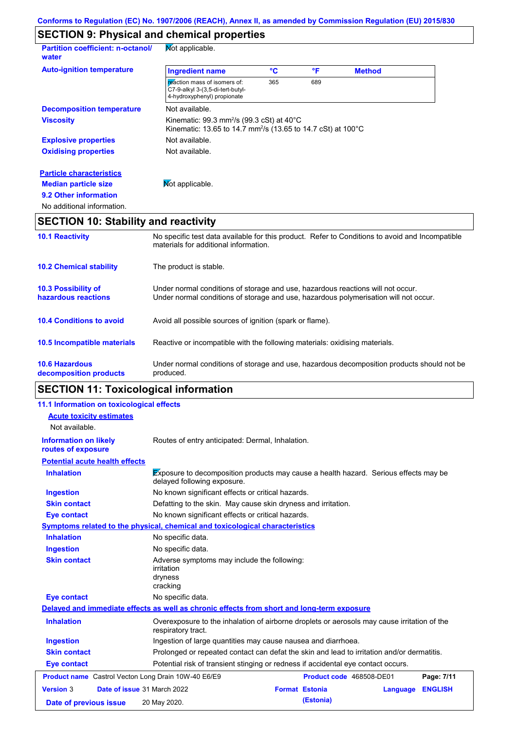## **SECTION 9: Physical and chemical properties**

| <b>Partition coefficient: n-octanol/</b><br>water | Not applicable.                                                                                                                              |                 |     |               |  |
|---------------------------------------------------|----------------------------------------------------------------------------------------------------------------------------------------------|-----------------|-----|---------------|--|
| <b>Auto-ignition temperature</b>                  | <b>Ingredient name</b>                                                                                                                       | $\rm ^{\circ}C$ | °F  | <b>Method</b> |  |
|                                                   | reaction mass of isomers of:<br>C7-9-alkyl 3-(3,5-di-tert-butyl-<br>4-hydroxyphenyl) propionate                                              | 365             | 689 |               |  |
| <b>Decomposition temperature</b>                  | Not available.                                                                                                                               |                 |     |               |  |
| <b>Viscosity</b>                                  | Kinematic: 99.3 mm <sup>2</sup> /s (99.3 cSt) at 40 $^{\circ}$ C<br>Kinematic: 13.65 to 14.7 mm <sup>2</sup> /s (13.65 to 14.7 cSt) at 100°C |                 |     |               |  |
| <b>Explosive properties</b>                       | Not available.                                                                                                                               |                 |     |               |  |
| <b>Oxidising properties</b>                       | Not available.                                                                                                                               |                 |     |               |  |
| <b>Particle characteristics</b>                   |                                                                                                                                              |                 |     |               |  |
| <b>Median particle size</b>                       | Mot applicable.                                                                                                                              |                 |     |               |  |
| 9.2 Other information                             |                                                                                                                                              |                 |     |               |  |
| No additional information.                        |                                                                                                                                              |                 |     |               |  |

# **SECTION 10: Stability and reactivity**

| produced.<br>decomposition products<br><b>SECTION 11: Toxicological information</b> |                                                                                                                                                                         |  |  |
|-------------------------------------------------------------------------------------|-------------------------------------------------------------------------------------------------------------------------------------------------------------------------|--|--|
| <b>10.6 Hazardous</b>                                                               | Under normal conditions of storage and use, hazardous decomposition products should not be                                                                              |  |  |
| <b>10.5 Incompatible materials</b>                                                  | Reactive or incompatible with the following materials: oxidising materials.                                                                                             |  |  |
| <b>10.4 Conditions to avoid</b>                                                     | Avoid all possible sources of ignition (spark or flame).                                                                                                                |  |  |
| <b>10.3 Possibility of</b><br>hazardous reactions                                   | Under normal conditions of storage and use, hazardous reactions will not occur.<br>Under normal conditions of storage and use, hazardous polymerisation will not occur. |  |  |
| <b>10.2 Chemical stability</b>                                                      | The product is stable.                                                                                                                                                  |  |  |
| <b>10.1 Reactivity</b>                                                              | No specific test data available for this product. Refer to Conditions to avoid and Incompatible<br>materials for additional information.                                |  |  |

# **SECTION 11: Toxicological information**

| 11.1 Information on toxicological effects                  |                                                                                                                            |  |  |
|------------------------------------------------------------|----------------------------------------------------------------------------------------------------------------------------|--|--|
| <b>Acute toxicity estimates</b>                            |                                                                                                                            |  |  |
| Not available.                                             |                                                                                                                            |  |  |
| <b>Information on likely</b><br>routes of exposure         | Routes of entry anticipated: Dermal, Inhalation.                                                                           |  |  |
| <b>Potential acute health effects</b>                      |                                                                                                                            |  |  |
| <b>Inhalation</b>                                          | <b>Exposure to decomposition products may cause a health hazard.</b> Serious effects may be<br>delayed following exposure. |  |  |
| <b>Ingestion</b>                                           | No known significant effects or critical hazards.                                                                          |  |  |
| <b>Skin contact</b>                                        | Defatting to the skin. May cause skin dryness and irritation.                                                              |  |  |
| <b>Eye contact</b>                                         | No known significant effects or critical hazards.                                                                          |  |  |
|                                                            | Symptoms related to the physical, chemical and toxicological characteristics                                               |  |  |
| <b>Inhalation</b>                                          | No specific data.                                                                                                          |  |  |
| <b>Ingestion</b>                                           | No specific data.                                                                                                          |  |  |
| <b>Skin contact</b>                                        | Adverse symptoms may include the following:<br><i>irritation</i><br>dryness<br>cracking                                    |  |  |
| <b>Eye contact</b>                                         | No specific data.                                                                                                          |  |  |
|                                                            | Delayed and immediate effects as well as chronic effects from short and long-term exposure                                 |  |  |
| <b>Inhalation</b>                                          | Overexposure to the inhalation of airborne droplets or aerosols may cause irritation of the<br>respiratory tract.          |  |  |
| <b>Ingestion</b>                                           | Ingestion of large quantities may cause nausea and diarrhoea.                                                              |  |  |
| <b>Skin contact</b>                                        | Prolonged or repeated contact can defat the skin and lead to irritation and/or dermatitis.                                 |  |  |
| <b>Eye contact</b>                                         | Potential risk of transient stinging or redness if accidental eye contact occurs.                                          |  |  |
| <b>Product name</b> Castrol Vecton Long Drain 10W-40 E6/E9 | Page: 7/11<br>Product code 468508-DE01                                                                                     |  |  |
| <b>Version 3</b>                                           | Date of issue 31 March 2022<br><b>Format Estonia</b><br><b>ENGLISH</b><br>Language                                         |  |  |
| Date of previous issue                                     | (Estonia)<br>20 May 2020.                                                                                                  |  |  |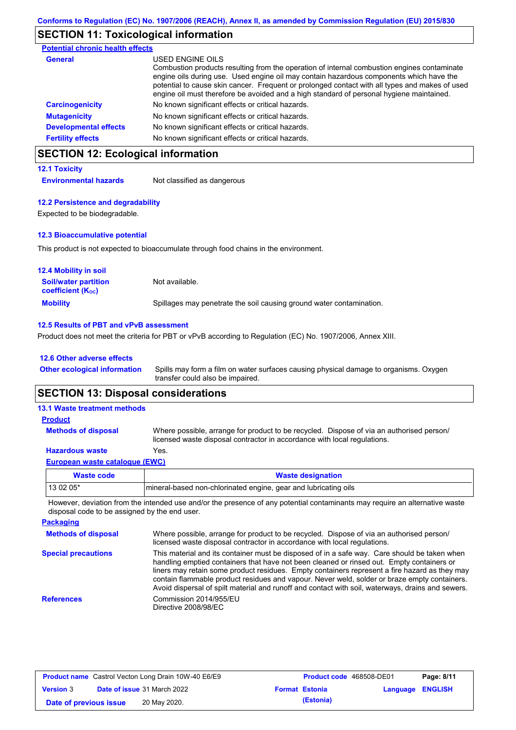## **SECTION 11: Toxicological information**

| <b>Potential chronic health effects</b> |                                                                                                                                                                                                                                                                                                                                                                                                          |
|-----------------------------------------|----------------------------------------------------------------------------------------------------------------------------------------------------------------------------------------------------------------------------------------------------------------------------------------------------------------------------------------------------------------------------------------------------------|
| <b>General</b>                          | USED ENGINE OILS<br>Combustion products resulting from the operation of internal combustion engines contaminate<br>engine oils during use. Used engine oil may contain hazardous components which have the<br>potential to cause skin cancer. Frequent or prolonged contact with all types and makes of used<br>engine oil must therefore be avoided and a high standard of personal hygiene maintained. |
| <b>Carcinogenicity</b>                  | No known significant effects or critical hazards.                                                                                                                                                                                                                                                                                                                                                        |
| <b>Mutagenicity</b>                     | No known significant effects or critical hazards.                                                                                                                                                                                                                                                                                                                                                        |
| <b>Developmental effects</b>            | No known significant effects or critical hazards.                                                                                                                                                                                                                                                                                                                                                        |
| <b>Fertility effects</b>                | No known significant effects or critical hazards.                                                                                                                                                                                                                                                                                                                                                        |

## **SECTION 12: Ecological information**

### **12.1 Toxicity**

**Environmental hazards** Not classified as dangerous

### **12.2 Persistence and degradability**

Expected to be biodegradable.

### **12.3 Bioaccumulative potential**

This product is not expected to bioaccumulate through food chains in the environment.

| <b>12.4 Mobility in soil</b>                            |                                                                      |
|---------------------------------------------------------|----------------------------------------------------------------------|
| <b>Soil/water partition</b><br><b>coefficient (Koc)</b> | Not available.                                                       |
| <b>Mobility</b>                                         | Spillages may penetrate the soil causing ground water contamination. |

### **12.5 Results of PBT and vPvB assessment**

Product does not meet the criteria for PBT or vPvB according to Regulation (EC) No. 1907/2006, Annex XIII.

### **12.6 Other adverse effects**

**Other ecological information**

Spills may form a film on water surfaces causing physical damage to organisms. Oxygen transfer could also be impaired.

### **SECTION 13: Disposal considerations**

| <b>13.1 Waste treatment methods</b> |                                                                                                                                                                      |
|-------------------------------------|----------------------------------------------------------------------------------------------------------------------------------------------------------------------|
| <b>Product</b>                      |                                                                                                                                                                      |
| <b>Methods of disposal</b>          | Where possible, arrange for product to be recycled. Dispose of via an authorised person/<br>licensed waste disposal contractor in accordance with local regulations. |
| <b>Hazardous waste</b>              | Yes.                                                                                                                                                                 |
| European waste catalogue (EWC)      |                                                                                                                                                                      |

| Waste code | <b>Waste designation</b>                                         |
|------------|------------------------------------------------------------------|
| $130205*$  | Imineral-based non-chlorinated engine, gear and lubricating oils |

However, deviation from the intended use and/or the presence of any potential contaminants may require an alternative waste disposal code to be assigned by the end user.

| <b>Packaging</b>           |                                                                                                                                                                                                                                                                                                                                                                                                                                                                                                 |
|----------------------------|-------------------------------------------------------------------------------------------------------------------------------------------------------------------------------------------------------------------------------------------------------------------------------------------------------------------------------------------------------------------------------------------------------------------------------------------------------------------------------------------------|
| <b>Methods of disposal</b> | Where possible, arrange for product to be recycled. Dispose of via an authorised person/<br>licensed waste disposal contractor in accordance with local regulations.                                                                                                                                                                                                                                                                                                                            |
| <b>Special precautions</b> | This material and its container must be disposed of in a safe way. Care should be taken when<br>handling emptied containers that have not been cleaned or rinsed out. Empty containers or<br>liners may retain some product residues. Empty containers represent a fire hazard as they may<br>contain flammable product residues and vapour. Never weld, solder or braze empty containers.<br>Avoid dispersal of spilt material and runoff and contact with soil, waterways, drains and sewers. |
| <b>References</b>          | Commission 2014/955/EU<br>Directive 2008/98/EC                                                                                                                                                                                                                                                                                                                                                                                                                                                  |

| <b>Product name</b> Castrol Vecton Long Drain 10W-40 E6/E9 |  |                                    | <b>Product code</b> 468508-DE01 | Page: 8/11            |                         |  |
|------------------------------------------------------------|--|------------------------------------|---------------------------------|-----------------------|-------------------------|--|
| <b>Version 3</b>                                           |  | <b>Date of issue 31 March 2022</b> |                                 | <b>Format Estonia</b> | <b>Language ENGLISH</b> |  |
| Date of previous issue                                     |  | 20 May 2020.                       |                                 | (Estonia)             |                         |  |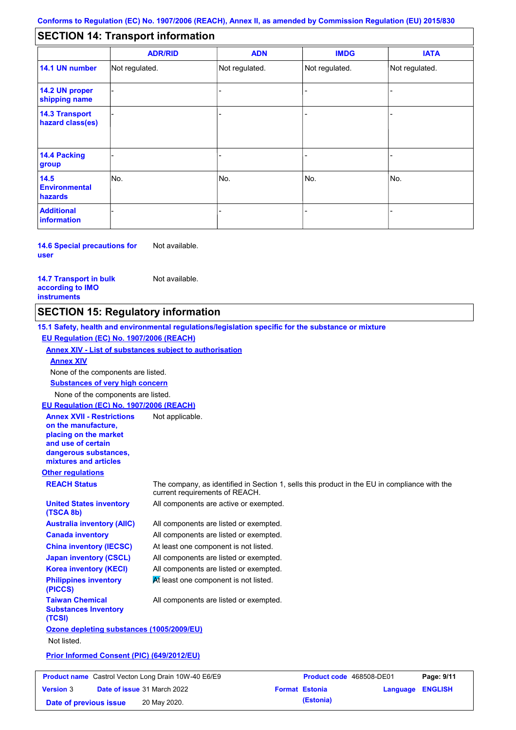#### - - - - - - - - - Not regulated. Not regulated. Not regulated. - - - **SECTION 14: Transport information ADR/RID IMDG IATA 14.1 UN number 14.2 UN proper shipping name 14.3 Transport hazard class(es) 14.4 Packing group ADN Additional information 14.5 Environmental hazards** No. 1980 | No. 1980 | No. 1980 | No. 1980 | No. 1980 | No. 1980 | No. 1980 | No. 1980 | No. 1980 | No. 1980 | Not regulated. - -<br>No. - -

**14.6 Special precautions for user** Not available.

### **14.7 Transport in bulk according to IMO instruments**

Not available.

### **SECTION 15: Regulatory information**

**Other regulations REACH Status** The company, as identified in Section 1, sells this product in the EU in compliance with the current requirements of REACH. **15.1 Safety, health and environmental regulations/legislation specific for the substance or mixture EU Regulation (EC) No. 1907/2006 (REACH) Annex XIV - List of substances subject to authorisation Substances of very high concern** None of the components are listed. All components are listed or exempted. All components are listed or exempted. At least one component is not listed. All components are listed or exempted. All components are active or exempted. All components are listed or exempted.  $\overline{M}$  least one component is not listed. **United States inventory (TSCA 8b) Australia inventory (AIIC) Canada inventory China inventory (IECSC) Japan inventory (CSCL) Korea inventory (KECI) Philippines inventory (PICCS) Taiwan Chemical Substances Inventory (TCSI)** All components are listed or exempted. **Ozone depleting substances (1005/2009/EU)** Not listed. **Prior Informed Consent (PIC) (649/2012/EU)** None of the components are listed. **Annex XIV EU Regulation (EC) No. 1907/2006 (REACH) Annex XVII - Restrictions on the manufacture, placing on the market and use of certain dangerous substances, mixtures and articles** Not applicable. **Prod** 

|                        | <b>Product name</b> Castrol Vecton Long Drain 10W-40 E6/E9 | Product code 468508-DE01 |                         | Page: 9/11 |
|------------------------|------------------------------------------------------------|--------------------------|-------------------------|------------|
| <b>Version</b> 3       | <b>Date of issue 31 March 2022</b>                         | <b>Format Estonia</b>    | <b>Language ENGLISH</b> |            |
| Date of previous issue | 20 May 2020.                                               | (Estonia)                |                         |            |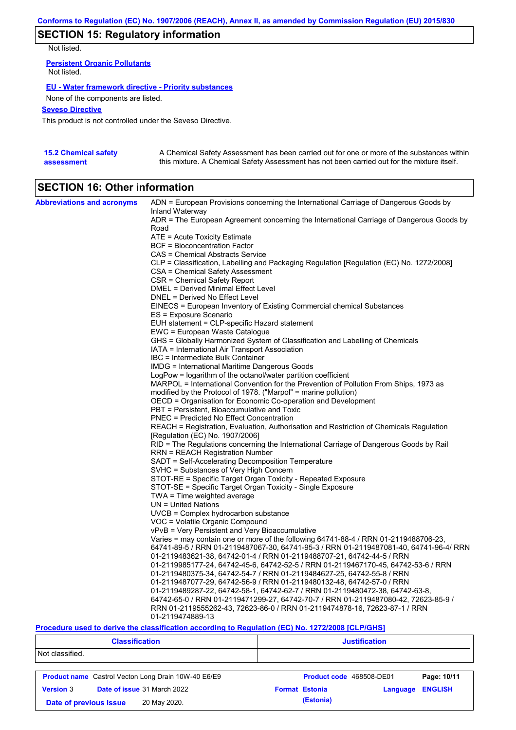## **SECTION 15: Regulatory information**

Not listed.

**Persistent Organic Pollutants** Not listed.

### **EU - Water framework directive - Priority substances**

None of the components are listed.

### **Seveso Directive**

This product is not controlled under the Seveso Directive.

| <b>15.2 Chemical safety</b> | A Chemical Safety Assessment has been carried out for one or more of the substances within  |
|-----------------------------|---------------------------------------------------------------------------------------------|
| assessment                  | this mixture. A Chemical Safety Assessment has not been carried out for the mixture itself. |

# **SECTION 16: Other information**

| <b>Abbreviations and acronyms</b> | ADN = European Provisions concerning the International Carriage of Dangerous Goods by    |
|-----------------------------------|------------------------------------------------------------------------------------------|
|                                   | Inland Waterway                                                                          |
|                                   | ADR = The European Agreement concerning the International Carriage of Dangerous Goods by |
|                                   | Road                                                                                     |
|                                   | ATE = Acute Toxicity Estimate                                                            |
|                                   | <b>BCF</b> = Bioconcentration Factor                                                     |
|                                   | CAS = Chemical Abstracts Service                                                         |
|                                   | CLP = Classification, Labelling and Packaging Regulation [Regulation (EC) No. 1272/2008] |
|                                   | CSA = Chemical Safety Assessment                                                         |
|                                   | CSR = Chemical Safety Report                                                             |
|                                   | DMEL = Derived Minimal Effect Level                                                      |
|                                   | DNEL = Derived No Effect Level                                                           |
|                                   | EINECS = European Inventory of Existing Commercial chemical Substances                   |
|                                   | ES = Exposure Scenario                                                                   |
|                                   | EUH statement = CLP-specific Hazard statement                                            |
|                                   | EWC = European Waste Catalogue                                                           |
|                                   | GHS = Globally Harmonized System of Classification and Labelling of Chemicals            |
|                                   | IATA = International Air Transport Association                                           |
|                                   | IBC = Intermediate Bulk Container                                                        |
|                                   | IMDG = International Maritime Dangerous Goods                                            |
|                                   | LogPow = logarithm of the octanol/water partition coefficient                            |
|                                   | MARPOL = International Convention for the Prevention of Pollution From Ships, 1973 as    |
|                                   | modified by the Protocol of 1978. ("Marpol" = marine pollution)                          |
|                                   | OECD = Organisation for Economic Co-operation and Development                            |
|                                   | PBT = Persistent, Bioaccumulative and Toxic                                              |
|                                   | <b>PNEC</b> = Predicted No Effect Concentration                                          |
|                                   | REACH = Registration, Evaluation, Authorisation and Restriction of Chemicals Regulation  |
|                                   | [Regulation (EC) No. 1907/2006]                                                          |
|                                   | RID = The Regulations concerning the International Carriage of Dangerous Goods by Rail   |
|                                   | <b>RRN = REACH Registration Number</b>                                                   |
|                                   | SADT = Self-Accelerating Decomposition Temperature                                       |
|                                   | SVHC = Substances of Very High Concern                                                   |
|                                   | STOT-RE = Specific Target Organ Toxicity - Repeated Exposure                             |
|                                   | STOT-SE = Specific Target Organ Toxicity - Single Exposure                               |
|                                   | TWA = Time weighted average                                                              |
|                                   | $UN = United Nations$                                                                    |
|                                   | $UVCB = Complex\;hydrocarbon\; substance$                                                |
|                                   | VOC = Volatile Organic Compound                                                          |
|                                   | vPvB = Very Persistent and Very Bioaccumulative                                          |
|                                   | Varies = may contain one or more of the following $64741-88-4$ / RRN 01-2119488706-23,   |
|                                   | 64741-89-5 / RRN 01-2119487067-30, 64741-95-3 / RRN 01-2119487081-40, 64741-96-4/ RRN    |
|                                   | 01-2119483621-38, 64742-01-4 / RRN 01-2119488707-21, 64742-44-5 / RRN                    |
|                                   | 01-2119985177-24, 64742-45-6, 64742-52-5 / RRN 01-2119467170-45, 64742-53-6 / RRN        |
|                                   | 01-2119480375-34, 64742-54-7 / RRN 01-2119484627-25, 64742-55-8 / RRN                    |
|                                   | 01-2119487077-29, 64742-56-9 / RRN 01-2119480132-48, 64742-57-0 / RRN                    |
|                                   | 01-2119489287-22, 64742-58-1, 64742-62-7 / RRN 01-2119480472-38, 64742-63-8,             |
|                                   | 64742-65-0 / RRN 01-2119471299-27, 64742-70-7 / RRN 01-2119487080-42, 72623-85-9 /       |
|                                   | RRN 01-2119555262-43, 72623-86-0 / RRN 01-2119474878-16, 72623-87-1 / RRN                |
|                                   | 01-2119474889-13                                                                         |

### **Procedure used to derive the classification according to Regulation (EC) No. 1272/2008 [CLP/GHS]**

| <b>Classification</b>                  |                                                            | <b>Justification</b>              |                |  |  |
|----------------------------------------|------------------------------------------------------------|-----------------------------------|----------------|--|--|
| Not classified.                        |                                                            |                                   |                |  |  |
|                                        | <b>Product name</b> Castrol Vecton Long Drain 10W-40 E6/E9 | Product code 468508-DE01          | Page: 10/11    |  |  |
| <b>Version 3</b>                       | Date of issue 31 March 2022                                | <b>Format Estonia</b><br>Language | <b>ENGLISH</b> |  |  |
| 20 May 2020.<br>Date of previous issue |                                                            | (Estonia)                         |                |  |  |